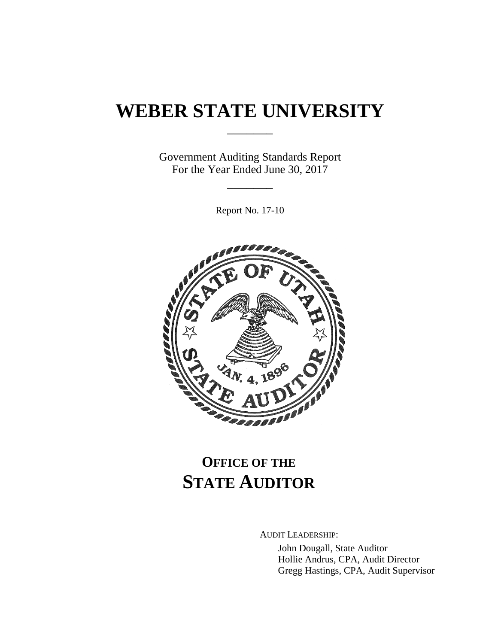# **WEBER STATE UNIVERSITY**

\_\_\_\_\_\_\_

Government Auditing Standards Report For the Year Ended June 30, 2017

\_\_\_\_\_\_\_

Report No. 17-10



# **OFFICE OF THE STATE AUDITOR**

AUDIT LEADERSHIP:

John Dougall, State Auditor Hollie Andrus, CPA, Audit Director Gregg Hastings, CPA, Audit Supervisor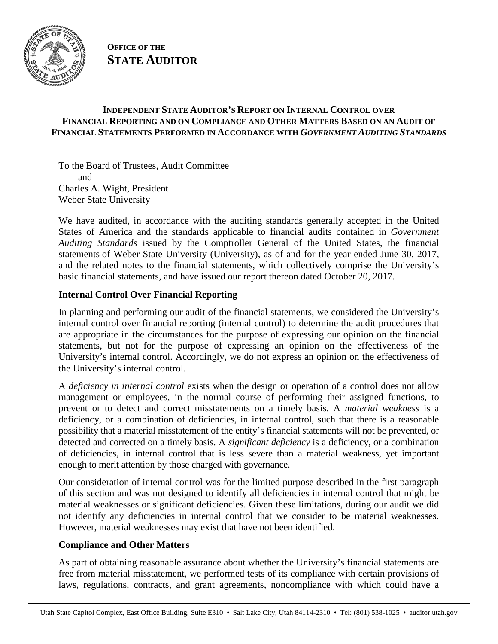

**OFFICE OF THE STATE AUDITOR**

#### **INDEPENDENT STATE AUDITOR'S REPORT ON INTERNAL CONTROL OVER FINANCIAL REPORTING AND ON COMPLIANCE AND OTHER MATTERS BASED ON AN AUDIT OF FINANCIAL STATEMENTS PERFORMED IN ACCORDANCE WITH** *GOVERNMENT AUDITING STANDARDS*

To the Board of Trustees, Audit Committee and Charles A. Wight, President Weber State University

We have audited, in accordance with the auditing standards generally accepted in the United States of America and the standards applicable to financial audits contained in *Government Auditing Standards* issued by the Comptroller General of the United States, the financial statements of Weber State University (University), as of and for the year ended June 30, 2017, and the related notes to the financial statements, which collectively comprise the University's basic financial statements, and have issued our report thereon dated October 20, 2017.

## **Internal Control Over Financial Reporting**

In planning and performing our audit of the financial statements, we considered the University's internal control over financial reporting (internal control) to determine the audit procedures that are appropriate in the circumstances for the purpose of expressing our opinion on the financial statements, but not for the purpose of expressing an opinion on the effectiveness of the University's internal control. Accordingly, we do not express an opinion on the effectiveness of the University's internal control.

A *deficiency in internal control* exists when the design or operation of a control does not allow management or employees, in the normal course of performing their assigned functions, to prevent or to detect and correct misstatements on a timely basis. A *material weakness* is a deficiency, or a combination of deficiencies, in internal control, such that there is a reasonable possibility that a material misstatement of the entity's financial statements will not be prevented, or detected and corrected on a timely basis. A *significant deficiency* is a deficiency, or a combination of deficiencies, in internal control that is less severe than a material weakness, yet important enough to merit attention by those charged with governance.

Our consideration of internal control was for the limited purpose described in the first paragraph of this section and was not designed to identify all deficiencies in internal control that might be material weaknesses or significant deficiencies. Given these limitations, during our audit we did not identify any deficiencies in internal control that we consider to be material weaknesses. However, material weaknesses may exist that have not been identified.

#### **Compliance and Other Matters**

As part of obtaining reasonable assurance about whether the University's financial statements are free from material misstatement, we performed tests of its compliance with certain provisions of laws, regulations, contracts, and grant agreements, noncompliance with which could have a